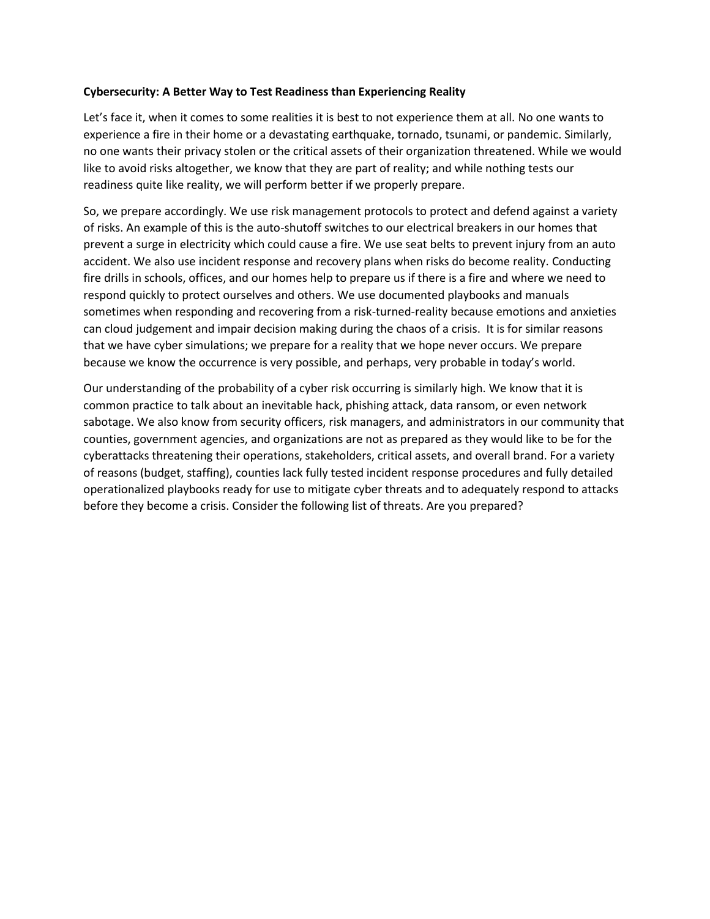## **Cybersecurity: A Better Way to Test Readiness than Experiencing Reality**

Let's face it, when it comes to some realities it is best to not experience them at all. No one wants to experience a fire in their home or a devastating earthquake, tornado, tsunami, or pandemic. Similarly, no one wants their privacy stolen or the critical assets of their organization threatened. While we would like to avoid risks altogether, we know that they are part of reality; and while nothing tests our readiness quite like reality, we will perform better if we properly prepare.

So, we prepare accordingly. We use risk management protocols to protect and defend against a variety of risks. An example of this is the auto-shutoff switches to our electrical breakers in our homes that prevent a surge in electricity which could cause a fire. We use seat belts to prevent injury from an auto accident. We also use incident response and recovery plans when risks do become reality. Conducting fire drills in schools, offices, and our homes help to prepare us if there is a fire and where we need to respond quickly to protect ourselves and others. We use documented playbooks and manuals sometimes when responding and recovering from a risk-turned-reality because emotions and anxieties can cloud judgement and impair decision making during the chaos of a crisis. It is for similar reasons that we have cyber simulations; we prepare for a reality that we hope never occurs. We prepare because we know the occurrence is very possible, and perhaps, very probable in today's world.

Our understanding of the probability of a cyber risk occurring is similarly high. We know that it is common practice to talk about an inevitable hack, phishing attack, data ransom, or even network sabotage. We also know from security officers, risk managers, and administrators in our community that counties, government agencies, and organizations are not as prepared as they would like to be for the cyberattacks threatening their operations, stakeholders, critical assets, and overall brand. For a variety of reasons (budget, staffing), counties lack fully tested incident response procedures and fully detailed operationalized playbooks ready for use to mitigate cyber threats and to adequately respond to attacks before they become a crisis. Consider the following list of threats. Are you prepared?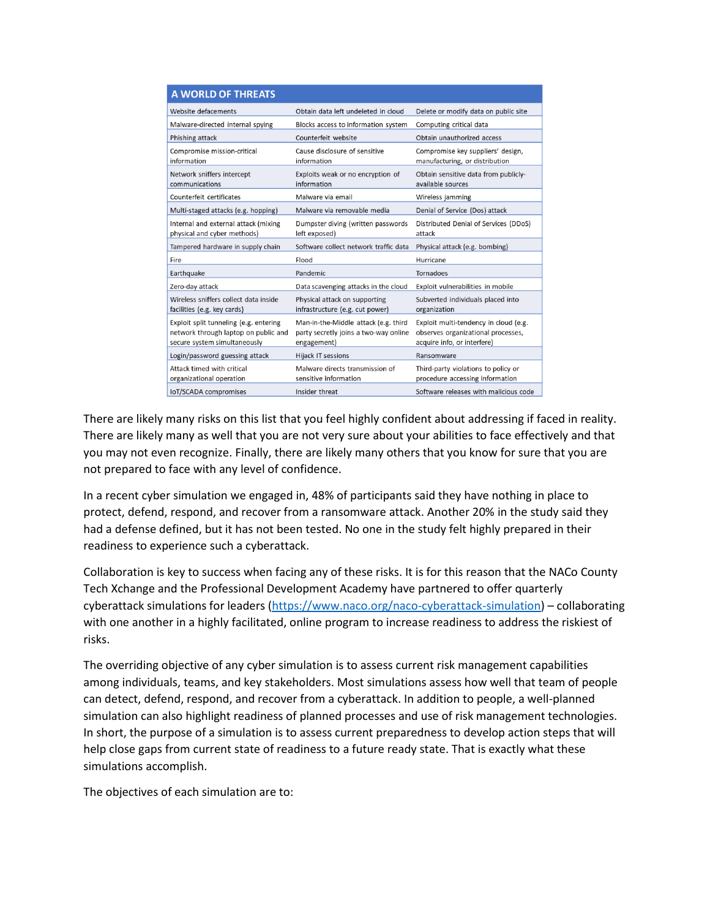| <b>A WORLD OF THREATS</b>                                                                                      |                                                                                              |                                                                                                            |
|----------------------------------------------------------------------------------------------------------------|----------------------------------------------------------------------------------------------|------------------------------------------------------------------------------------------------------------|
| Website defacements                                                                                            | Obtain data left undeleted in cloud                                                          | Delete or modify data on public site                                                                       |
| Malware-directed internal spying                                                                               | Blocks access to information system                                                          | Computing critical data                                                                                    |
| Phishing attack                                                                                                | Counterfeit website                                                                          | Obtain unauthorized access                                                                                 |
| Compromise mission-critical<br>information                                                                     | Cause disclosure of sensitive<br>information                                                 | Compromise key suppliers' design,<br>manufacturing, or distribution                                        |
| Network sniffers intercept<br>communications                                                                   | Exploits weak or no encryption of<br>information                                             | Obtain sensitive data from publicly-<br>available sources                                                  |
| Counterfeit certificates                                                                                       | Malware via email                                                                            | Wireless jamming                                                                                           |
| Multi-staged attacks (e.g. hopping)                                                                            | Malware via removable media                                                                  | Denial of Service (Dos) attack                                                                             |
| Internal and external attack (mixing<br>physical and cyber methods)                                            | Dumpster diving (written passwords<br>left exposed)                                          | Distributed Denial of Services (DDoS)<br>attack                                                            |
| Tampered hardware in supply chain                                                                              | Software collect network traffic data                                                        | Physical attack (e.g. bombing)                                                                             |
| Fire                                                                                                           | Flood                                                                                        | Hurricane                                                                                                  |
| Earthquake                                                                                                     | Pandemic                                                                                     | Tornadoes                                                                                                  |
| Zero-day attack                                                                                                | Data scavenging attacks in the cloud                                                         | Exploit vulnerabilities in mobile                                                                          |
| Wireless sniffers collect data inside<br>facilities (e.g. key cards)                                           | Physical attack on supporting<br>infrastructure (e.g. cut power)                             | Subverted individuals placed into<br>organization                                                          |
| Exploit split tunneling (e.g. entering<br>network through laptop on public and<br>secure system simultaneously | Man-in-the-Middle attack (e.g. third<br>party secretly joins a two-way online<br>engagement) | Exploit multi-tendency in cloud (e.g.<br>observes organizational processes,<br>acquire info, or interfere) |
| Login/password guessing attack                                                                                 | Hijack IT sessions                                                                           | Ransomware                                                                                                 |
| Attack timed with critical<br>organizational operation                                                         | Malware directs transmission of<br>sensitive information                                     | Third-party violations to policy or<br>procedure accessing information                                     |
| IoT/SCADA compromises                                                                                          | Insider threat                                                                               | Software releases with malicious code                                                                      |

There are likely many risks on this list that you feel highly confident about addressing if faced in reality. There are likely many as well that you are not very sure about your abilities to face effectively and that you may not even recognize. Finally, there are likely many others that you know for sure that you are not prepared to face with any level of confidence.

In a recent cyber simulation we engaged in, 48% of participants said they have nothing in place to protect, defend, respond, and recover from a ransomware attack. Another 20% in the study said they had a defense defined, but it has not been tested. No one in the study felt highly prepared in their readiness to experience such a cyberattack.

Collaboration is key to success when facing any of these risks. It is for this reason that the NACo County Tech Xchange and the Professional Development Academy have partnered to offer quarterly cyberattack simulations for leaders [\(https://www.naco.org/naco-cyberattack-simulation\)](https://www.naco.org/naco-cyberattack-simulation) - collaborating with one another in a highly facilitated, online program to increase readiness to address the riskiest of risks.

The overriding objective of any cyber simulation is to assess current risk management capabilities among individuals, teams, and key stakeholders. Most simulations assess how well that team of people can detect, defend, respond, and recover from a cyberattack. In addition to people, a well-planned simulation can also highlight readiness of planned processes and use of risk management technologies. In short, the purpose of a simulation is to assess current preparedness to develop action steps that will help close gaps from current state of readiness to a future ready state. That is exactly what these simulations accomplish.

The objectives of each simulation are to: